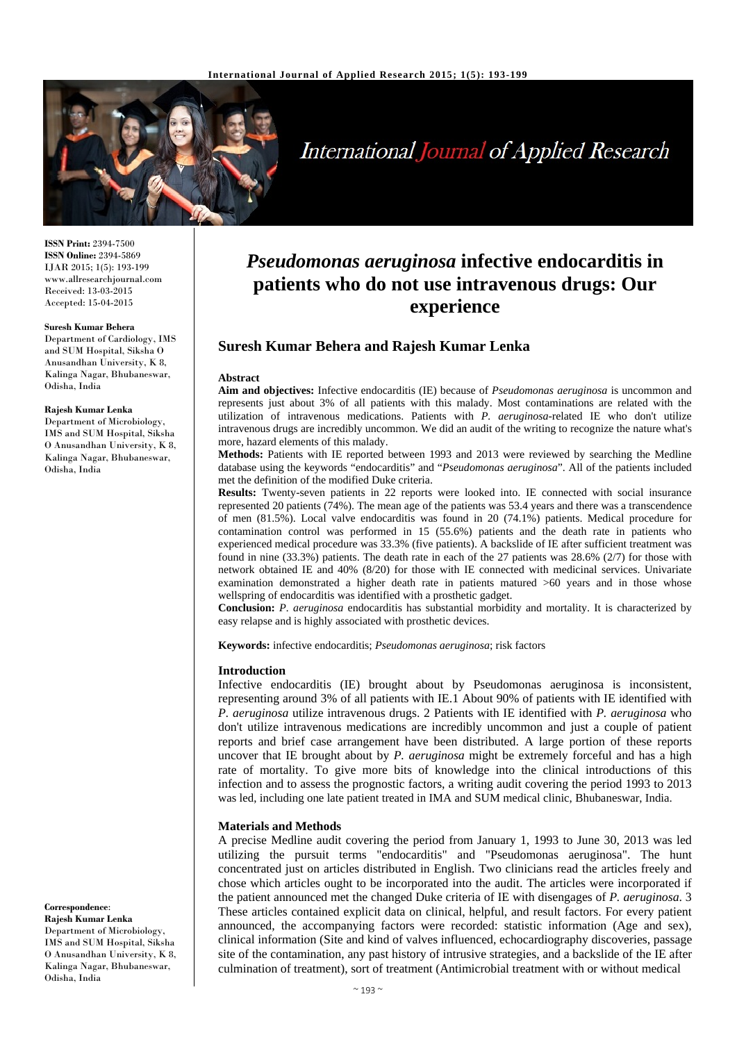

# International Journal of Applied Research

**ISSN Print:** 2394-7500 **ISSN Online:** 2394-5869 IJAR 2015; 1(5): 193-199 www.allresearchjournal.com Received: 13-03-2015 Accepted: 15-04-2015

#### **Suresh Kumar Behera**

Department of Cardiology, IMS and SUM Hospital, Siksha O Anusandhan University, K 8, Kalinga Nagar, Bhubaneswar, Odisha, India

#### **Rajesh Kumar Lenka**

Department of Microbiology, IMS and SUM Hospital, Siksha O Anusandhan University, K 8, Kalinga Nagar, Bhubaneswar, Odisha, India

#### **Correspondence**: **Rajesh Kumar Lenka**

Department of Microbiology, IMS and SUM Hospital, Siksha O Anusandhan University, K 8, Kalinga Nagar, Bhubaneswar, Odisha, India

# *Pseudomonas aeruginosa* **infective endocarditis in patients who do not use intravenous drugs: Our experience**

# **Suresh Kumar Behera and Rajesh Kumar Lenka**

#### **Abstract**

**Aim and objectives:** Infective endocarditis (IE) because of *Pseudomonas aeruginosa* is uncommon and represents just about 3% of all patients with this malady. Most contaminations are related with the utilization of intravenous medications. Patients with *P. aeruginosa*-related IE who don't utilize intravenous drugs are incredibly uncommon. We did an audit of the writing to recognize the nature what's more, hazard elements of this malady.

**Methods:** Patients with IE reported between 1993 and 2013 were reviewed by searching the Medline database using the keywords "endocarditis" and "*Pseudomonas aeruginosa*". All of the patients included met the definition of the modified Duke criteria.

**Results:** Twenty-seven patients in 22 reports were looked into. IE connected with social insurance represented 20 patients (74%). The mean age of the patients was 53.4 years and there was a transcendence of men (81.5%). Local valve endocarditis was found in 20 (74.1%) patients. Medical procedure for contamination control was performed in 15 (55.6%) patients and the death rate in patients who experienced medical procedure was 33.3% (five patients). A backslide of IE after sufficient treatment was found in nine (33.3%) patients. The death rate in each of the 27 patients was 28.6% (2/7) for those with network obtained IE and 40% (8/20) for those with IE connected with medicinal services. Univariate examination demonstrated a higher death rate in patients matured >60 years and in those whose wellspring of endocarditis was identified with a prosthetic gadget.

**Conclusion:** *P. aeruginosa* endocarditis has substantial morbidity and mortality. It is characterized by easy relapse and is highly associated with prosthetic devices.

**Keywords:** infective endocarditis; *Pseudomonas aeruginosa*; risk factors

#### **Introduction**

Infective endocarditis (IE) brought about by Pseudomonas aeruginosa is inconsistent, representing around 3% of all patients with IE.1 About 90% of patients with IE identified with *P. aeruginosa* utilize intravenous drugs. 2 Patients with IE identified with *P. aeruginosa* who don't utilize intravenous medications are incredibly uncommon and just a couple of patient reports and brief case arrangement have been distributed. A large portion of these reports uncover that IE brought about by *P. aeruginosa* might be extremely forceful and has a high rate of mortality. To give more bits of knowledge into the clinical introductions of this infection and to assess the prognostic factors, a writing audit covering the period 1993 to 2013 was led, including one late patient treated in IMA and SUM medical clinic, Bhubaneswar, India.

## **Materials and Methods**

A precise Medline audit covering the period from January 1, 1993 to June 30, 2013 was led utilizing the pursuit terms "endocarditis" and "Pseudomonas aeruginosa". The hunt concentrated just on articles distributed in English. Two clinicians read the articles freely and chose which articles ought to be incorporated into the audit. The articles were incorporated if the patient announced met the changed Duke criteria of IE with disengages of *P. aeruginosa*. 3 These articles contained explicit data on clinical, helpful, and result factors. For every patient announced, the accompanying factors were recorded: statistic information (Age and sex), clinical information (Site and kind of valves influenced, echocardiography discoveries, passage site of the contamination, any past history of intrusive strategies, and a backslide of the IE after culmination of treatment), sort of treatment (Antimicrobial treatment with or without medical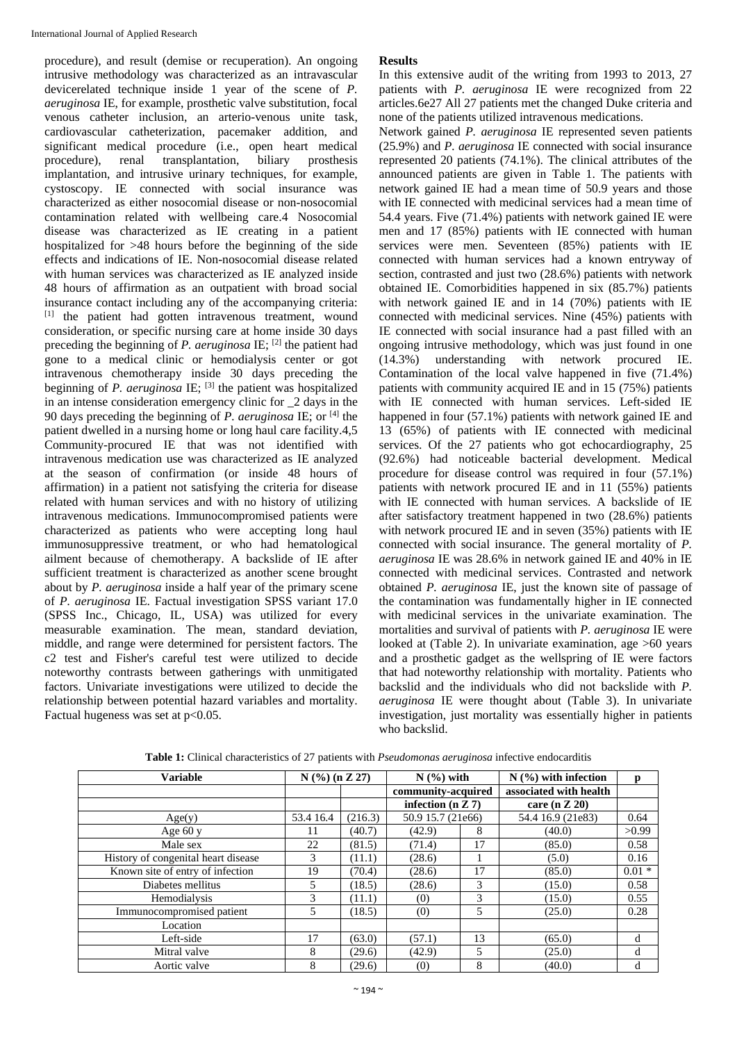procedure), and result (demise or recuperation). An ongoing intrusive methodology was characterized as an intravascular devicerelated technique inside 1 year of the scene of *P. aeruginosa* IE, for example, prosthetic valve substitution, focal venous catheter inclusion, an arterio-venous unite task, cardiovascular catheterization, pacemaker addition, and significant medical procedure (i.e., open heart medical procedure), renal transplantation, biliary prosthesis implantation, and intrusive urinary techniques, for example, cystoscopy. IE connected with social insurance was characterized as either nosocomial disease or non-nosocomial contamination related with wellbeing care.4 Nosocomial disease was characterized as IE creating in a patient hospitalized for >48 hours before the beginning of the side effects and indications of IE. Non-nosocomial disease related with human services was characterized as IE analyzed inside 48 hours of affirmation as an outpatient with broad social insurance contact including any of the accompanying criteria: [1] the patient had gotten intravenous treatment, wound consideration, or specific nursing care at home inside 30 days preceding the beginning of *P. aeruginosa* IE; [2] the patient had gone to a medical clinic or hemodialysis center or got intravenous chemotherapy inside 30 days preceding the beginning of *P. aeruginosa* IE: <sup>[3]</sup> the patient was hospitalized in an intense consideration emergency clinic for 2 days in the 90 days preceding the beginning of *P. aeruginosa* IE; or [4] the patient dwelled in a nursing home or long haul care facility.4,5 Community-procured IE that was not identified with intravenous medication use was characterized as IE analyzed at the season of confirmation (or inside 48 hours of affirmation) in a patient not satisfying the criteria for disease related with human services and with no history of utilizing intravenous medications. Immunocompromised patients were characterized as patients who were accepting long haul immunosuppressive treatment, or who had hematological ailment because of chemotherapy. A backslide of IE after sufficient treatment is characterized as another scene brought about by *P. aeruginosa* inside a half year of the primary scene of *P. aeruginosa* IE. Factual investigation SPSS variant 17.0 (SPSS Inc., Chicago, IL, USA) was utilized for every measurable examination. The mean, standard deviation, middle, and range were determined for persistent factors. The c2 test and Fisher's careful test were utilized to decide noteworthy contrasts between gatherings with unmitigated factors. Univariate investigations were utilized to decide the relationship between potential hazard variables and mortality. Factual hugeness was set at  $p<0.05$ .

#### **Results**

In this extensive audit of the writing from 1993 to 2013, 27 patients with *P. aeruginosa* IE were recognized from 22 articles.6e27 All 27 patients met the changed Duke criteria and none of the patients utilized intravenous medications.

Network gained *P. aeruginosa* IE represented seven patients (25.9%) and *P. aeruginosa* IE connected with social insurance represented 20 patients (74.1%). The clinical attributes of the announced patients are given in Table 1. The patients with network gained IE had a mean time of 50.9 years and those with IE connected with medicinal services had a mean time of 54.4 years. Five (71.4%) patients with network gained IE were men and 17 (85%) patients with IE connected with human services were men. Seventeen (85%) patients with IE connected with human services had a known entryway of section, contrasted and just two (28.6%) patients with network obtained IE. Comorbidities happened in six (85.7%) patients with network gained IE and in 14 (70%) patients with IE connected with medicinal services. Nine (45%) patients with IE connected with social insurance had a past filled with an ongoing intrusive methodology, which was just found in one (14.3%) understanding with network procured IE. Contamination of the local valve happened in five (71.4%) patients with community acquired IE and in 15 (75%) patients with IE connected with human services. Left-sided IE happened in four (57.1%) patients with network gained IE and 13 (65%) of patients with IE connected with medicinal services. Of the 27 patients who got echocardiography, 25 (92.6%) had noticeable bacterial development. Medical procedure for disease control was required in four (57.1%) patients with network procured IE and in 11 (55%) patients with IE connected with human services. A backslide of IE after satisfactory treatment happened in two (28.6%) patients with network procured IE and in seven (35%) patients with IE connected with social insurance. The general mortality of *P. aeruginosa* IE was 28.6% in network gained IE and 40% in IE connected with medicinal services. Contrasted and network obtained *P. aeruginosa* IE, just the known site of passage of the contamination was fundamentally higher in IE connected with medicinal services in the univariate examination. The mortalities and survival of patients with *P. aeruginosa* IE were looked at (Table 2). In univariate examination, age  $>60$  years and a prosthetic gadget as the wellspring of IE were factors that had noteworthy relationship with mortality. Patients who backslid and the individuals who did not backslide with *P. aeruginosa* IE were thought about (Table 3). In univariate investigation, just mortality was essentially higher in patients who backslid.

| <b>Variable</b>                     | $N$ (%) (n Z 27) |         | $N$ $(\%)$ with     |    | $N$ (%) with infection |          |
|-------------------------------------|------------------|---------|---------------------|----|------------------------|----------|
|                                     |                  |         | community-acquired  |    | associated with health |          |
|                                     |                  |         | infection $(n Z 7)$ |    | care (n $Z$ 20)        |          |
| Age(y)                              | 53.4 16.4        | (216.3) | 50.9 15.7 (21e66)   |    | 54.4 16.9 (21e83)      | 0.64     |
| Age $60y$                           | 11               | (40.7)  | (42.9)              | 8  | (40.0)                 | >0.99    |
| Male sex                            | 22               | (81.5)  | (71.4)              | 17 | (85.0)                 | 0.58     |
| History of congenital heart disease | 3                | (11.1)  | (28.6)              |    | (5.0)                  | 0.16     |
| Known site of entry of infection    | 19               | (70.4)  | (28.6)              | 17 | (85.0)                 | $0.01 *$ |
| Diabetes mellitus                   | 5                | (18.5)  | (28.6)              | 3  | (15.0)                 | 0.58     |
| Hemodialysis                        | 3                | (11.1)  | (0)                 | 3  | (15.0)                 | 0.55     |
| Immunocompromised patient           | 5                | (18.5)  | (0)                 | 5  | (25.0)                 | 0.28     |
| Location                            |                  |         |                     |    |                        |          |
| Left-side                           | 17               | (63.0)  | (57.1)              | 13 | (65.0)                 | d        |
| Mitral valve                        | 8                | (29.6)  | (42.9)              | 5  | (25.0)                 | d        |
| Aortic valve                        | 8                | (29.6)  | (0)                 | 8  | (40.0)                 | d        |

**Table 1:** Clinical characteristics of 27 patients with *Pseudomonas aeruginosa* infective endocarditis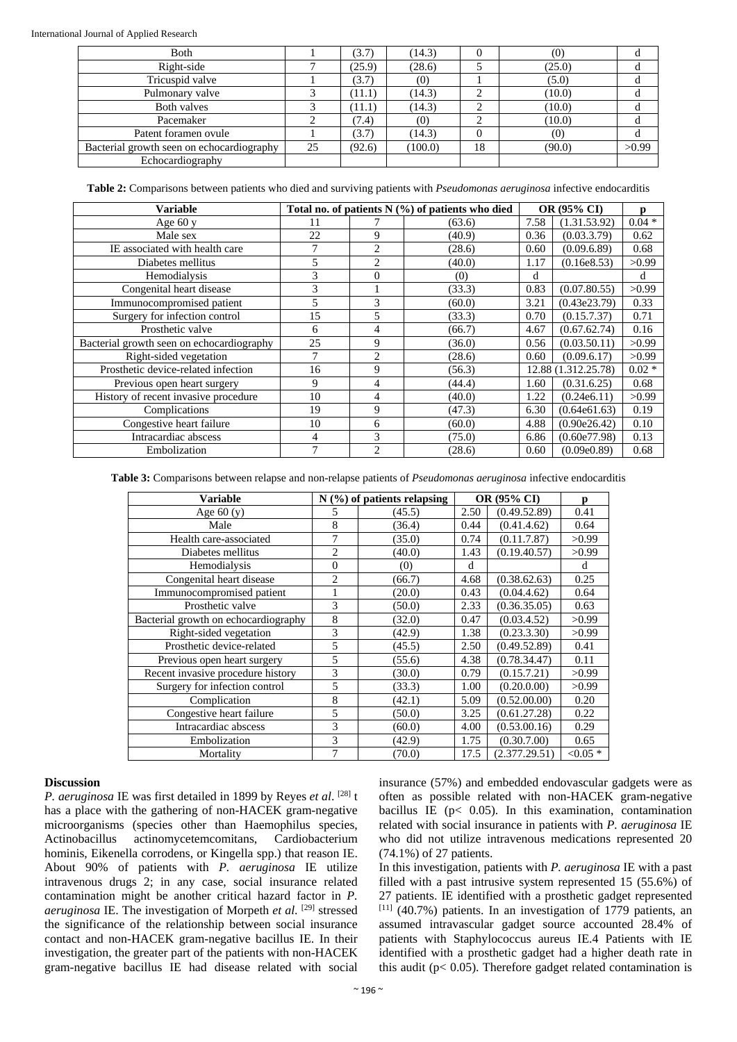| Both                                      |    | (3.7)  | (14.3)  | 0  | (0)    | u     |
|-------------------------------------------|----|--------|---------|----|--------|-------|
| Right-side                                |    | (25.9) | (28.6)  |    | (25.0) |       |
| Tricuspid valve                           |    | (3.7)  | (0)     |    | (5.0)  |       |
| Pulmonary valve                           |    | (11.1) | (14.3)  |    | (10.0) |       |
| Both valves                               |    | (11.1) | (14.3)  | ◠  | (10.0) |       |
| Pacemaker                                 |    | (7.4)  | (0)     | ⌒  | (10.0) |       |
| Patent foramen ovule                      |    | (3.7)  | (14.3)  | 0  | (0)    | đ     |
| Bacterial growth seen on echocardiography | 25 | (92.6) | (100.0) | 18 | (90.0) | >0.99 |
| Echocardiography                          |    |        |         |    |        |       |

**Table 2:** Comparisons between patients who died and surviving patients with *Pseudomonas aeruginosa* infective endocarditis

| <b>Variable</b>                           | Total no. of patients N (%) of patients who died |                |        | OR (95% CI) | n                   |          |
|-------------------------------------------|--------------------------------------------------|----------------|--------|-------------|---------------------|----------|
| Age $60y$                                 | 11                                               |                | (63.6) | 7.58        | (1.31.53.92)        | $0.04*$  |
| Male sex                                  | 22                                               | 9              | (40.9) | 0.36        | (0.03.3.79)         | 0.62     |
| IE associated with health care            | 7                                                | 2              | (28.6) | 0.60        | (0.09.6.89)         | 0.68     |
| Diabetes mellitus                         | 5                                                | 2              | (40.0) | 1.17        | (0.16e8.53)         | >0.99    |
| Hemodialysis                              | 3                                                | $\Omega$       | (0)    | d           |                     | d        |
| Congenital heart disease                  | 3                                                |                | (33.3) | 0.83        | (0.07.80.55)        | >0.99    |
| Immunocompromised patient                 | 5                                                | 3              | (60.0) | 3.21        | (0.43e23.79)        | 0.33     |
| Surgery for infection control             | 15                                               | 5              | (33.3) | 0.70        | (0.15.7.37)         | 0.71     |
| Prosthetic valve                          | 6                                                | 4              | (66.7) | 4.67        | (0.67.62.74)        | 0.16     |
| Bacterial growth seen on echocardiography | 25                                               | 9              | (36.0) | 0.56        | (0.03.50.11)        | >0.99    |
| Right-sided vegetation                    | 7                                                | $\overline{2}$ | (28.6) | 0.60        | (0.09.6.17)         | >0.99    |
| Prosthetic device-related infection       | 16                                               | 9              | (56.3) |             | 12.88 (1.312.25.78) | $0.02 *$ |
| Previous open heart surgery               | 9                                                | 4              | (44.4) | 1.60        | (0.31.6.25)         | 0.68     |
| History of recent invasive procedure      | 10                                               | 4              | (40.0) | 1.22        | (0.24e6.11)         | >0.99    |
| Complications                             | 19                                               | 9              | (47.3) | 6.30        | (0.64e61.63)        | 0.19     |
| Congestive heart failure                  | 10                                               | 6              | (60.0) | 4.88        | (0.90e26.42)        | 0.10     |
| Intracardiac abscess                      | 4                                                | 3              | (75.0) | 6.86        | (0.60e77.98)        | 0.13     |
| Embolization                              | 7                                                | $\mathcal{D}$  | (28.6) | 0.60        | (0.09e0.89)         | 0.68     |

**Table 3:** Comparisons between relapse and non-relapse patients of *Pseudomonas aeruginosa* infective endocarditis

| <b>Variable</b>                      | $N$ (%) of patients relapsing |        |      | <b>OR (95% CI)</b> |           |  |
|--------------------------------------|-------------------------------|--------|------|--------------------|-----------|--|
| Age $60(y)$                          | 5                             | (45.5) | 2.50 | (0.49.52.89)       | 0.41      |  |
| Male                                 | 8                             | (36.4) | 0.44 | (0.41.4.62)        | 0.64      |  |
| Health care-associated               | 7                             | (35.0) | 0.74 | (0.11.7.87)        | >0.99     |  |
| Diabetes mellitus                    | 2                             | (40.0) | 1.43 | (0.19.40.57)       | >0.99     |  |
| Hemodialysis                         | $\Omega$                      | (0)    | d    |                    | d         |  |
| Congenital heart disease             | $\overline{c}$                | (66.7) | 4.68 | (0.38.62.63)       | 0.25      |  |
| Immunocompromised patient            |                               | (20.0) | 0.43 | (0.04.4.62)        | 0.64      |  |
| Prosthetic valve                     | 3                             | (50.0) | 2.33 | (0.36.35.05)       | 0.63      |  |
| Bacterial growth on echocardiography | 8                             | (32.0) | 0.47 | (0.03.4.52)        | >0.99     |  |
| Right-sided vegetation               | 3                             | (42.9) | 1.38 | (0.23.3.30)        | >0.99     |  |
| Prosthetic device-related            | 5                             | (45.5) | 2.50 | (0.49.52.89)       | 0.41      |  |
| Previous open heart surgery          | 5                             | (55.6) | 4.38 | (0.78.34.47)       | 0.11      |  |
| Recent invasive procedure history    | 3                             | (30.0) | 0.79 | (0.15.7.21)        | >0.99     |  |
| Surgery for infection control        | 5                             | (33.3) | 1.00 | (0.20.0.00)        | >0.99     |  |
| Complication                         | 8                             | (42.1) | 5.09 | (0.52.00.00)       | 0.20      |  |
| Congestive heart failure             | 5                             | (50.0) | 3.25 | (0.61.27.28)       | 0.22      |  |
| Intracardiac abscess                 | 3                             | (60.0) | 4.00 | (0.53.00.16)       | 0.29      |  |
| Embolization                         | 3                             | (42.9) | 1.75 | (0.30.7.00)        | 0.65      |  |
| Mortality                            | 7                             | (70.0) | 17.5 | (2.377.29.51)      | $< 0.05*$ |  |

## **Discussion**

*P. aeruginosa* IE was first detailed in 1899 by Reyes *et al*. [28] t has a place with the gathering of non-HACEK gram-negative microorganisms (species other than Haemophilus species, Actinobacillus actinomycetemcomitans, Cardiobacterium hominis, Eikenella corrodens, or Kingella spp.) that reason IE. About 90% of patients with *P. aeruginosa* IE utilize intravenous drugs 2; in any case, social insurance related contamination might be another critical hazard factor in *P. aeruginosa* IE. The investigation of Morpeth *et al*. [29] stressed the significance of the relationship between social insurance contact and non-HACEK gram-negative bacillus IE. In their investigation, the greater part of the patients with non-HACEK gram-negative bacillus IE had disease related with social

insurance (57%) and embedded endovascular gadgets were as often as possible related with non-HACEK gram-negative bacillus IE ( $p$ < 0.05). In this examination, contamination related with social insurance in patients with *P. aeruginosa* IE who did not utilize intravenous medications represented 20 (74.1%) of 27 patients.

In this investigation, patients with *P. aeruginosa* IE with a past filled with a past intrusive system represented 15 (55.6%) of 27 patients. IE identified with a prosthetic gadget represented  $[11]$  (40.7%) patients. In an investigation of 1779 patients, an assumed intravascular gadget source accounted 28.4% of patients with Staphylococcus aureus IE.4 Patients with IE identified with a prosthetic gadget had a higher death rate in this audit ( $p$ < 0.05). Therefore gadget related contamination is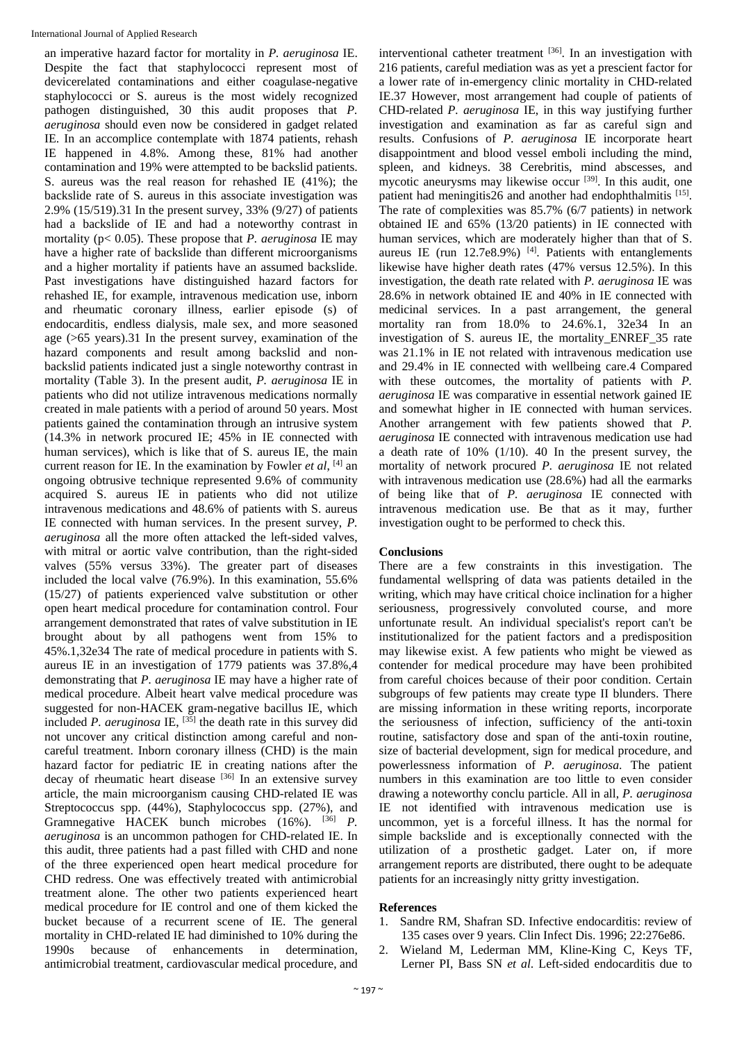an imperative hazard factor for mortality in *P. aeruginosa* IE. Despite the fact that staphylococci represent most of devicerelated contaminations and either coagulase-negative staphylococci or S. aureus is the most widely recognized pathogen distinguished, 30 this audit proposes that *P. aeruginosa* should even now be considered in gadget related IE. In an accomplice contemplate with 1874 patients, rehash IE happened in 4.8%. Among these, 81% had another contamination and 19% were attempted to be backslid patients. S. aureus was the real reason for rehashed IE (41%); the backslide rate of S. aureus in this associate investigation was 2.9% (15/519).31 In the present survey, 33% (9/27) of patients had a backslide of IE and had a noteworthy contrast in mortality (p< 0.05). These propose that *P. aeruginosa* IE may have a higher rate of backslide than different microorganisms and a higher mortality if patients have an assumed backslide. Past investigations have distinguished hazard factors for rehashed IE, for example, intravenous medication use, inborn and rheumatic coronary illness, earlier episode (s) of endocarditis, endless dialysis, male sex, and more seasoned age (>65 years).31 In the present survey, examination of the hazard components and result among backslid and nonbackslid patients indicated just a single noteworthy contrast in mortality (Table 3). In the present audit, *P. aeruginosa* IE in patients who did not utilize intravenous medications normally created in male patients with a period of around 50 years. Most patients gained the contamination through an intrusive system (14.3% in network procured IE; 45% in IE connected with human services), which is like that of S. aureus IE, the main current reason for IE. In the examination by Fowler *et al*, [4] an ongoing obtrusive technique represented 9.6% of community acquired S. aureus IE in patients who did not utilize intravenous medications and 48.6% of patients with S. aureus IE connected with human services. In the present survey, *P. aeruginosa* all the more often attacked the left-sided valves, with mitral or aortic valve contribution, than the right-sided valves (55% versus 33%). The greater part of diseases included the local valve (76.9%). In this examination, 55.6% (15/27) of patients experienced valve substitution or other open heart medical procedure for contamination control. Four arrangement demonstrated that rates of valve substitution in IE brought about by all pathogens went from 15% to 45%.1,32e34 The rate of medical procedure in patients with S. aureus IE in an investigation of 1779 patients was 37.8%,4 demonstrating that *P. aeruginosa* IE may have a higher rate of medical procedure. Albeit heart valve medical procedure was suggested for non-HACEK gram-negative bacillus IE, which included *P. aeruginosa* IE, [35] the death rate in this survey did not uncover any critical distinction among careful and noncareful treatment. Inborn coronary illness (CHD) is the main hazard factor for pediatric IE in creating nations after the decay of rheumatic heart disease <sup>[36]</sup> In an extensive survey article, the main microorganism causing CHD-related IE was Streptococcus spp.  $(44\%)$ , Staphylococcus spp.  $(27\%)$ , and Gramnegative HACEK bunch microbes (16%). <sup>[36]</sup> *P*. *aeruginosa* is an uncommon pathogen for CHD-related IE. In this audit, three patients had a past filled with CHD and none of the three experienced open heart medical procedure for CHD redress. One was effectively treated with antimicrobial treatment alone. The other two patients experienced heart medical procedure for IE control and one of them kicked the bucket because of a recurrent scene of IE. The general mortality in CHD-related IE had diminished to 10% during the 1990s because of enhancements in determination, antimicrobial treatment, cardiovascular medical procedure, and

interventional catheter treatment [36]. In an investigation with 216 patients, careful mediation was as yet a prescient factor for a lower rate of in-emergency clinic mortality in CHD-related IE.37 However, most arrangement had couple of patients of CHD-related *P. aeruginosa* IE, in this way justifying further investigation and examination as far as careful sign and results. Confusions of *P. aeruginosa* IE incorporate heart disappointment and blood vessel emboli including the mind, spleen, and kidneys. 38 Cerebritis, mind abscesses, and mycotic aneurysms may likewise occur<sup>[39]</sup>. In this audit, one patient had meningitis26 and another had endophthalmitis [15]. The rate of complexities was 85.7% (6/7 patients) in network obtained IE and 65% (13/20 patients) in IE connected with human services, which are moderately higher than that of S. aureus IE (run  $12.7e8.9\%$ ) [4]. Patients with entanglements likewise have higher death rates (47% versus 12.5%). In this investigation, the death rate related with *P. aeruginosa* IE was 28.6% in network obtained IE and 40% in IE connected with medicinal services. In a past arrangement, the general mortality ran from 18.0% to 24.6%.1, 32e34 In an investigation of S. aureus IE, the mortality\_ENREF\_35 rate was 21.1% in IE not related with intravenous medication use and 29.4% in IE connected with wellbeing care.4 Compared with these outcomes, the mortality of patients with *P. aeruginosa* IE was comparative in essential network gained IE and somewhat higher in IE connected with human services. Another arrangement with few patients showed that *P. aeruginosa* IE connected with intravenous medication use had a death rate of 10% (1/10). 40 In the present survey, the mortality of network procured *P. aeruginosa* IE not related with intravenous medication use (28.6%) had all the earmarks of being like that of *P. aeruginosa* IE connected with intravenous medication use. Be that as it may, further investigation ought to be performed to check this.

# **Conclusions**

There are a few constraints in this investigation. The fundamental wellspring of data was patients detailed in the writing, which may have critical choice inclination for a higher seriousness, progressively convoluted course, and more unfortunate result. An individual specialist's report can't be institutionalized for the patient factors and a predisposition may likewise exist. A few patients who might be viewed as contender for medical procedure may have been prohibited from careful choices because of their poor condition. Certain subgroups of few patients may create type II blunders. There are missing information in these writing reports, incorporate the seriousness of infection, sufficiency of the anti-toxin routine, satisfactory dose and span of the anti-toxin routine, size of bacterial development, sign for medical procedure, and powerlessness information of *P. aeruginosa*. The patient numbers in this examination are too little to even consider drawing a noteworthy conclu particle. All in all, *P. aeruginosa* IE not identified with intravenous medication use is uncommon, yet is a forceful illness. It has the normal for simple backslide and is exceptionally connected with the utilization of a prosthetic gadget. Later on, if more arrangement reports are distributed, there ought to be adequate patients for an increasingly nitty gritty investigation.

## **References**

- 1. Sandre RM, Shafran SD. Infective endocarditis: review of 135 cases over 9 years. Clin Infect Dis. 1996; 22:276e86.
- 2. Wieland M, Lederman MM, Kline-King C, Keys TF, Lerner PI, Bass SN *et al*. Left-sided endocarditis due to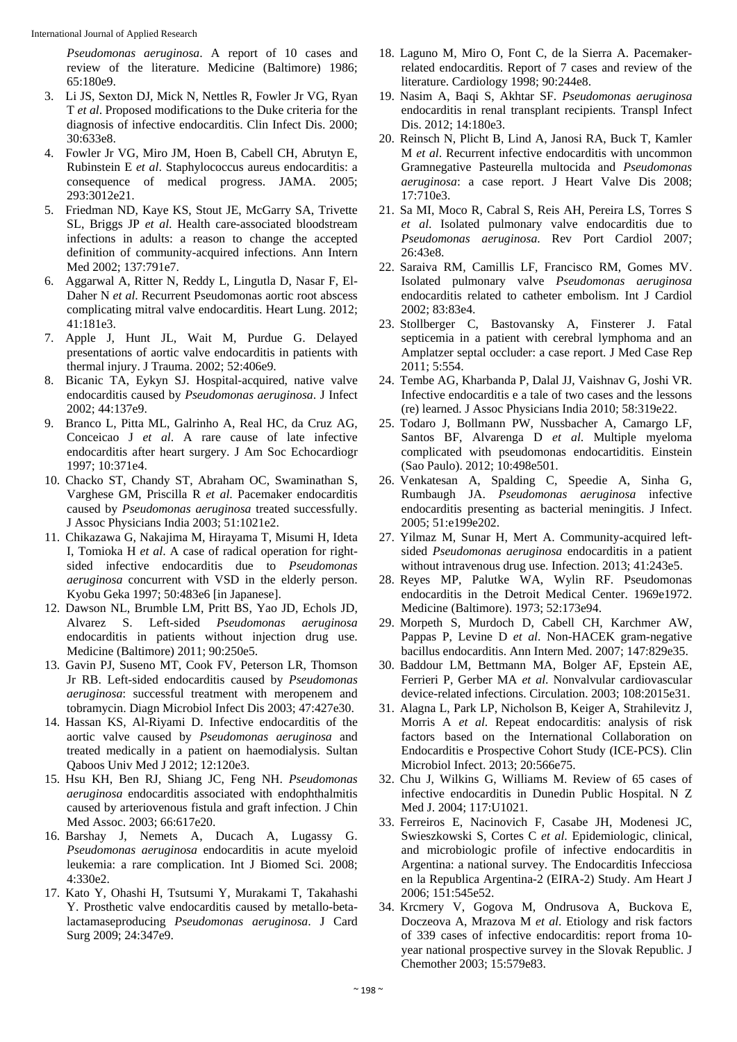*Pseudomonas aeruginosa*. A report of 10 cases and review of the literature. Medicine (Baltimore) 1986; 65:180e9.

- 3. Li JS, Sexton DJ, Mick N, Nettles R, Fowler Jr VG, Ryan T *et al*. Proposed modifications to the Duke criteria for the diagnosis of infective endocarditis. Clin Infect Dis. 2000; 30:633e8.
- 4. Fowler Jr VG, Miro JM, Hoen B, Cabell CH, Abrutyn E, Rubinstein E *et al*. Staphylococcus aureus endocarditis: a consequence of medical progress. JAMA. 2005; 293:3012e21.
- 5. Friedman ND, Kaye KS, Stout JE, McGarry SA, Trivette SL, Briggs JP *et al*. Health care-associated bloodstream infections in adults: a reason to change the accepted definition of community-acquired infections. Ann Intern Med 2002; 137:791e7.
- 6. Aggarwal A, Ritter N, Reddy L, Lingutla D, Nasar F, El-Daher N *et al*. Recurrent Pseudomonas aortic root abscess complicating mitral valve endocarditis. Heart Lung. 2012; 41:181e3.
- 7. Apple J, Hunt JL, Wait M, Purdue G. Delayed presentations of aortic valve endocarditis in patients with thermal injury. J Trauma. 2002; 52:406e9.
- 8. Bicanic TA, Eykyn SJ. Hospital-acquired, native valve endocarditis caused by *Pseudomonas aeruginosa*. J Infect 2002; 44:137e9.
- 9. Branco L, Pitta ML, Galrinho A, Real HC, da Cruz AG, Conceicao J *et al*. A rare cause of late infective endocarditis after heart surgery. J Am Soc Echocardiogr 1997; 10:371e4.
- 10. Chacko ST, Chandy ST, Abraham OC, Swaminathan S, Varghese GM, Priscilla R *et al*. Pacemaker endocarditis caused by *Pseudomonas aeruginosa* treated successfully. J Assoc Physicians India 2003; 51:1021e2.
- 11. Chikazawa G, Nakajima M, Hirayama T, Misumi H, Ideta I, Tomioka H *et al*. A case of radical operation for rightsided infective endocarditis due to *Pseudomonas aeruginosa* concurrent with VSD in the elderly person. Kyobu Geka 1997; 50:483e6 [in Japanese].
- 12. Dawson NL, Brumble LM, Pritt BS, Yao JD, Echols JD, Alvarez S. Left-sided *Pseudomonas aeruginosa* endocarditis in patients without injection drug use. Medicine (Baltimore) 2011; 90:250e5.
- 13. Gavin PJ, Suseno MT, Cook FV, Peterson LR, Thomson Jr RB. Left-sided endocarditis caused by *Pseudomonas aeruginosa*: successful treatment with meropenem and tobramycin. Diagn Microbiol Infect Dis 2003; 47:427e30.
- 14. Hassan KS, Al-Riyami D. Infective endocarditis of the aortic valve caused by *Pseudomonas aeruginosa* and treated medically in a patient on haemodialysis. Sultan Qaboos Univ Med J 2012; 12:120e3.
- 15. Hsu KH, Ben RJ, Shiang JC, Feng NH. *Pseudomonas aeruginosa* endocarditis associated with endophthalmitis caused by arteriovenous fistula and graft infection. J Chin Med Assoc. 2003; 66:617e20.
- 16. Barshay J, Nemets A, Ducach A, Lugassy G. *Pseudomonas aeruginosa* endocarditis in acute myeloid leukemia: a rare complication. Int J Biomed Sci. 2008; 4:330e2.
- 17. Kato Y, Ohashi H, Tsutsumi Y, Murakami T, Takahashi Y. Prosthetic valve endocarditis caused by metallo-betalactamaseproducing *Pseudomonas aeruginosa*. J Card Surg 2009; 24:347e9.
- 18. Laguno M, Miro O, Font C, de la Sierra A. Pacemakerrelated endocarditis. Report of 7 cases and review of the literature. Cardiology 1998; 90:244e8.
- 19. Nasim A, Baqi S, Akhtar SF. *Pseudomonas aeruginosa* endocarditis in renal transplant recipients. Transpl Infect Dis. 2012; 14:180e3.
- 20. Reinsch N, Plicht B, Lind A, Janosi RA, Buck T, Kamler M *et al*. Recurrent infective endocarditis with uncommon Gramnegative Pasteurella multocida and *Pseudomonas aeruginosa*: a case report. J Heart Valve Dis 2008; 17:710e3.
- 21. Sa MI, Moco R, Cabral S, Reis AH, Pereira LS, Torres S *et al*. Isolated pulmonary valve endocarditis due to *Pseudomonas aeruginosa*. Rev Port Cardiol 2007; 26:43e8.
- 22. Saraiva RM, Camillis LF, Francisco RM, Gomes MV. Isolated pulmonary valve *Pseudomonas aeruginosa* endocarditis related to catheter embolism. Int J Cardiol 2002; 83:83e4.
- 23. Stollberger C, Bastovansky A, Finsterer J. Fatal septicemia in a patient with cerebral lymphoma and an Amplatzer septal occluder: a case report. J Med Case Rep 2011; 5:554.
- 24. Tembe AG, Kharbanda P, Dalal JJ, Vaishnav G, Joshi VR. Infective endocarditis e a tale of two cases and the lessons (re) learned. J Assoc Physicians India 2010; 58:319e22.
- 25. Todaro J, Bollmann PW, Nussbacher A, Camargo LF, Santos BF, Alvarenga D *et al*. Multiple myeloma complicated with pseudomonas endocartiditis. Einstein (Sao Paulo). 2012; 10:498e501.
- 26. Venkatesan A, Spalding C, Speedie A, Sinha G, Rumbaugh JA. *Pseudomonas aeruginosa* infective endocarditis presenting as bacterial meningitis. J Infect. 2005; 51:e199e202.
- 27. Yilmaz M, Sunar H, Mert A. Community-acquired leftsided *Pseudomonas aeruginosa* endocarditis in a patient without intravenous drug use. Infection. 2013; 41:243e5.
- 28. Reyes MP, Palutke WA, Wylin RF. Pseudomonas endocarditis in the Detroit Medical Center. 1969e1972. Medicine (Baltimore). 1973; 52:173e94.
- 29. Morpeth S, Murdoch D, Cabell CH, Karchmer AW, Pappas P, Levine D *et al*. Non-HACEK gram-negative bacillus endocarditis. Ann Intern Med. 2007; 147:829e35.
- 30. Baddour LM, Bettmann MA, Bolger AF, Epstein AE, Ferrieri P, Gerber MA *et al*. Nonvalvular cardiovascular device-related infections. Circulation. 2003; 108:2015e31.
- 31. Alagna L, Park LP, Nicholson B, Keiger A, Strahilevitz J, Morris A *et al*. Repeat endocarditis: analysis of risk factors based on the International Collaboration on Endocarditis e Prospective Cohort Study (ICE-PCS). Clin Microbiol Infect. 2013; 20:566e75.
- 32. Chu J, Wilkins G, Williams M. Review of 65 cases of infective endocarditis in Dunedin Public Hospital. N Z Med J. 2004; 117:U1021.
- 33. Ferreiros E, Nacinovich F, Casabe JH, Modenesi JC, Swieszkowski S, Cortes C *et al*. Epidemiologic, clinical, and microbiologic profile of infective endocarditis in Argentina: a national survey. The Endocarditis Infecciosa en la Republica Argentina-2 (EIRA-2) Study. Am Heart J 2006; 151:545e52.
- 34. Krcmery V, Gogova M, Ondrusova A, Buckova E, Doczeova A, Mrazova M *et al*. Etiology and risk factors of 339 cases of infective endocarditis: report froma 10 year national prospective survey in the Slovak Republic. J Chemother 2003; 15:579e83.